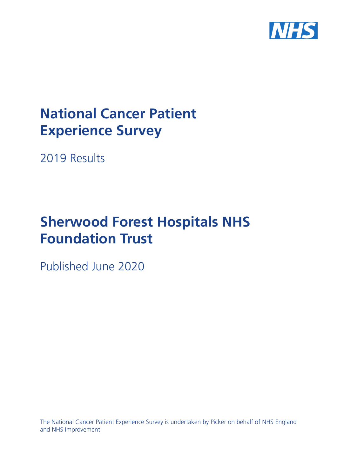

# **National Cancer Patient Experience Survey**

2019 Results

# **Sherwood Forest Hospitals NHS Foundation Trust**

Published June 2020

The National Cancer Patient Experience Survey is undertaken by Picker on behalf of NHS England and NHS Improvement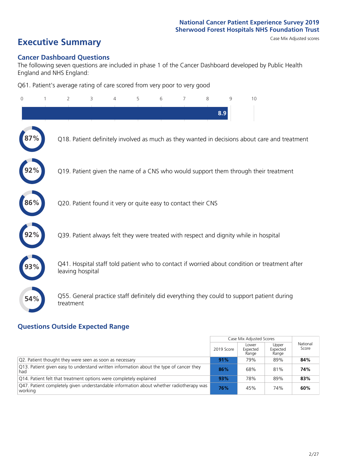# **Executive Summary** Case Mix Adjusted scores

#### **Cancer Dashboard Questions**

The following seven questions are included in phase 1 of the Cancer Dashboard developed by Public Health England and NHS England:

Q61. Patient's average rating of care scored from very poor to very good

| $\Omega$ | $\overline{2}$                                                | 3 | 5 | 6 | 7 | 8 | 9   | 10                                                                                            |
|----------|---------------------------------------------------------------|---|---|---|---|---|-----|-----------------------------------------------------------------------------------------------|
|          |                                                               |   |   |   |   |   | 8.9 |                                                                                               |
|          |                                                               |   |   |   |   |   |     | Q18. Patient definitely involved as much as they wanted in decisions about care and treatment |
|          |                                                               |   |   |   |   |   |     | Q19. Patient given the name of a CNS who would support them through their treatment           |
| 86%      | Q20. Patient found it very or quite easy to contact their CNS |   |   |   |   |   |     |                                                                                               |
|          |                                                               |   |   |   |   |   |     | Q39. Patient always felt they were treated with respect and dignity while in hospital         |
|          | leaving hospital                                              |   |   |   |   |   |     | Q41. Hospital staff told patient who to contact if worried about condition or treatment after |
| 54%      | treatment                                                     |   |   |   |   |   |     | Q55. General practice staff definitely did everything they could to support patient during    |

### **Questions Outside Expected Range**

|                                                                                                    |            | Case Mix Adjusted Scores   |                            |                   |
|----------------------------------------------------------------------------------------------------|------------|----------------------------|----------------------------|-------------------|
|                                                                                                    | 2019 Score | Lower<br>Expected<br>Range | Upper<br>Expected<br>Range | National<br>Score |
| Q2. Patient thought they were seen as soon as necessary                                            | 91%        | 79%                        | 89%                        | 84%               |
| [Q13] Patient given easy to understand written information about the type of cancer they<br>had    | 86%        | 68%                        | 81%                        | 74%               |
| Q14. Patient felt that treatment options were completely explained                                 | 93%        | 78%                        | 89%                        | 83%               |
| Q47. Patient completely given understandable information about whether radiotherapy was<br>working | 76%        | 45%                        | 74%                        | 60%               |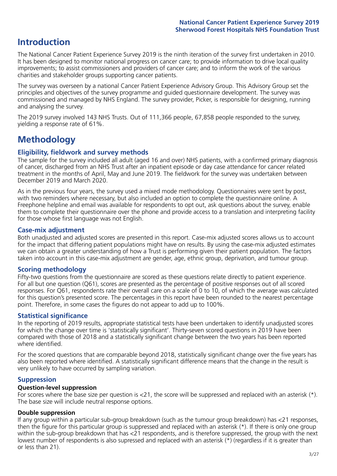## **Introduction**

The National Cancer Patient Experience Survey 2019 is the ninth iteration of the survey first undertaken in 2010. It has been designed to monitor national progress on cancer care; to provide information to drive local quality improvements; to assist commissioners and providers of cancer care; and to inform the work of the various charities and stakeholder groups supporting cancer patients.

The survey was overseen by a national Cancer Patient Experience Advisory Group. This Advisory Group set the principles and objectives of the survey programme and guided questionnaire development. The survey was commissioned and managed by NHS England. The survey provider, Picker, is responsible for designing, running and analysing the survey.

The 2019 survey involved 143 NHS Trusts. Out of 111,366 people, 67,858 people responded to the survey, yielding a response rate of 61%.

# **Methodology**

#### **Eligibility, eldwork and survey methods**

The sample for the survey included all adult (aged 16 and over) NHS patients, with a confirmed primary diagnosis of cancer, discharged from an NHS Trust after an inpatient episode or day case attendance for cancer related treatment in the months of April, May and June 2019. The fieldwork for the survey was undertaken between December 2019 and March 2020.

As in the previous four years, the survey used a mixed mode methodology. Questionnaires were sent by post, with two reminders where necessary, but also included an option to complete the questionnaire online. A Freephone helpline and email was available for respondents to opt out, ask questions about the survey, enable them to complete their questionnaire over the phone and provide access to a translation and interpreting facility for those whose first language was not English.

#### **Case-mix adjustment**

Both unadjusted and adjusted scores are presented in this report. Case-mix adjusted scores allows us to account for the impact that differing patient populations might have on results. By using the case-mix adjusted estimates we can obtain a greater understanding of how a Trust is performing given their patient population. The factors taken into account in this case-mix adjustment are gender, age, ethnic group, deprivation, and tumour group.

#### **Scoring methodology**

Fifty-two questions from the questionnaire are scored as these questions relate directly to patient experience. For all but one question (Q61), scores are presented as the percentage of positive responses out of all scored responses. For Q61, respondents rate their overall care on a scale of 0 to 10, of which the average was calculated for this question's presented score. The percentages in this report have been rounded to the nearest percentage point. Therefore, in some cases the figures do not appear to add up to 100%.

#### **Statistical significance**

In the reporting of 2019 results, appropriate statistical tests have been undertaken to identify unadjusted scores for which the change over time is 'statistically significant'. Thirty-seven scored questions in 2019 have been compared with those of 2018 and a statistically significant change between the two years has been reported where identified.

For the scored questions that are comparable beyond 2018, statistically significant change over the five years has also been reported where identified. A statistically significant difference means that the change in the result is very unlikely to have occurred by sampling variation.

#### **Suppression**

#### **Question-level suppression**

For scores where the base size per question is  $<$ 21, the score will be suppressed and replaced with an asterisk (\*). The base size will include neutral response options.

#### **Double suppression**

If any group within a particular sub-group breakdown (such as the tumour group breakdown) has <21 responses, then the figure for this particular group is suppressed and replaced with an asterisk (\*). If there is only one group within the sub-group breakdown that has <21 respondents, and is therefore suppressed, the group with the next lowest number of respondents is also supressed and replaced with an asterisk (\*) (regardless if it is greater than or less than 21).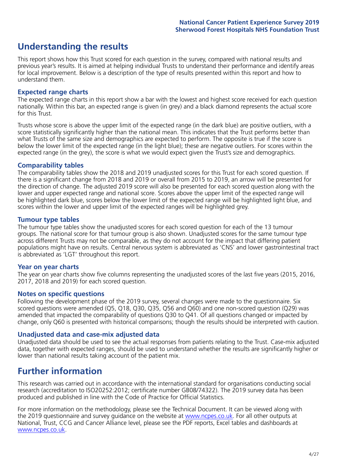# **Understanding the results**

This report shows how this Trust scored for each question in the survey, compared with national results and previous year's results. It is aimed at helping individual Trusts to understand their performance and identify areas for local improvement. Below is a description of the type of results presented within this report and how to understand them.

#### **Expected range charts**

The expected range charts in this report show a bar with the lowest and highest score received for each question nationally. Within this bar, an expected range is given (in grey) and a black diamond represents the actual score for this Trust.

Trusts whose score is above the upper limit of the expected range (in the dark blue) are positive outliers, with a score statistically significantly higher than the national mean. This indicates that the Trust performs better than what Trusts of the same size and demographics are expected to perform. The opposite is true if the score is below the lower limit of the expected range (in the light blue); these are negative outliers. For scores within the expected range (in the grey), the score is what we would expect given the Trust's size and demographics.

#### **Comparability tables**

The comparability tables show the 2018 and 2019 unadjusted scores for this Trust for each scored question. If there is a significant change from 2018 and 2019 or overall from 2015 to 2019, an arrow will be presented for the direction of change. The adjusted 2019 score will also be presented for each scored question along with the lower and upper expected range and national score. Scores above the upper limit of the expected range will be highlighted dark blue, scores below the lower limit of the expected range will be highlighted light blue, and scores within the lower and upper limit of the expected ranges will be highlighted grey.

#### **Tumour type tables**

The tumour type tables show the unadjusted scores for each scored question for each of the 13 tumour groups. The national score for that tumour group is also shown. Unadjusted scores for the same tumour type across different Trusts may not be comparable, as they do not account for the impact that differing patient populations might have on results. Central nervous system is abbreviated as 'CNS' and lower gastrointestinal tract is abbreviated as 'LGT' throughout this report.

#### **Year on year charts**

The year on year charts show five columns representing the unadjusted scores of the last five years (2015, 2016, 2017, 2018 and 2019) for each scored question.

#### **Notes on specific questions**

Following the development phase of the 2019 survey, several changes were made to the questionnaire. Six scored questions were amended (Q5, Q18, Q30, Q35, Q56 and Q60) and one non-scored question (Q29) was amended that impacted the comparability of questions Q30 to Q41. Of all questions changed or impacted by change, only Q60 is presented with historical comparisons; though the results should be interpreted with caution.

#### **Unadjusted data and case-mix adjusted data**

Unadjusted data should be used to see the actual responses from patients relating to the Trust. Case-mix adjusted data, together with expected ranges, should be used to understand whether the results are significantly higher or lower than national results taking account of the patient mix.

### **Further information**

This research was carried out in accordance with the international standard for organisations conducting social research (accreditation to ISO20252:2012; certificate number GB08/74322). The 2019 survey data has been produced and published in line with the Code of Practice for Official Statistics.

For more information on the methodology, please see the Technical Document. It can be viewed along with the 2019 questionnaire and survey quidance on the website at [www.ncpes.co.uk](https://www.ncpes.co.uk/supporting-documents). For all other outputs at National, Trust, CCG and Cancer Alliance level, please see the PDF reports, Excel tables and dashboards at [www.ncpes.co.uk.](https://www.ncpes.co.uk/current-results)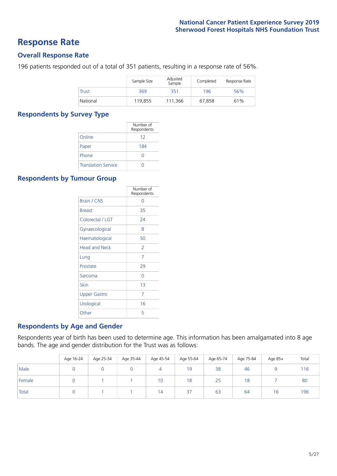### **Response Rate**

#### **Overall Response Rate**

196 patients responded out of a total of 351 patients, resulting in a response rate of 56%.

|          | Sample Size | Adjusted<br>Sample | Completed | Response Rate |
|----------|-------------|--------------------|-----------|---------------|
| Trust    | 369         | 351                | 196       | 56%           |
| National | 119.855     | 111,366            | 67.858    | 61%           |

#### **Respondents by Survey Type**

|                            | Number of<br>Respondents |
|----------------------------|--------------------------|
| Online                     | 12                       |
| Paper                      | 184                      |
| Phone                      | O                        |
| <b>Translation Service</b> |                          |

#### **Respondents by Tumour Group**

|                      | Number of<br>Respondents |
|----------------------|--------------------------|
| <b>Brain / CNS</b>   | ∩                        |
| <b>Breast</b>        | 35                       |
| Colorectal / LGT     | 24                       |
| Gynaecological       | 8                        |
| Haematological       | 50                       |
| <b>Head and Neck</b> | $\overline{\phantom{a}}$ |
| Lung                 | 7                        |
| Prostate             | 29                       |
| Sarcoma              | Ω                        |
| Skin                 | 1 <sub>3</sub>           |
| <b>Upper Gastro</b>  | 7                        |
| Urological           | 16                       |
| Other                | 5                        |

#### **Respondents by Age and Gender**

Respondents year of birth has been used to determine age. This information has been amalgamated into 8 age bands. The age and gender distribution for the Trust was as follows:

|        | Age 16-24 | Age 25-34 | Age 35-44 | Age 45-54 | Age 55-64 | Age 65-74 | Age 75-84 | Age 85+ | Total |
|--------|-----------|-----------|-----------|-----------|-----------|-----------|-----------|---------|-------|
| Male   |           |           |           | 4         | 19        | 38        | 46        |         | 116   |
| Female |           |           |           | 10        | 18        | 25        | 18        |         | 80    |
| Total  |           |           |           | 14        | 37        | 63        | 64        | 16      | 196   |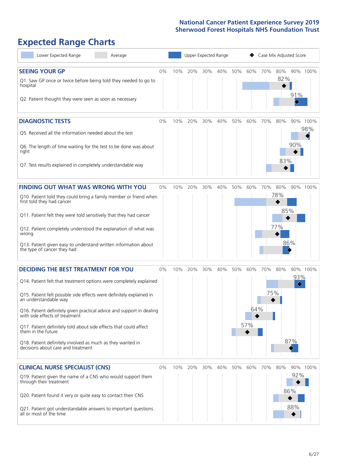# **Expected Range Charts**

| Lower Expected Range<br>Average                                                                                                                                                                                                                                                                                                                                                                                                                                                                                             |       |     |     | Upper Expected Range |     |     |                   |            | Case Mix Adjusted Score  |                   |                 |
|-----------------------------------------------------------------------------------------------------------------------------------------------------------------------------------------------------------------------------------------------------------------------------------------------------------------------------------------------------------------------------------------------------------------------------------------------------------------------------------------------------------------------------|-------|-----|-----|----------------------|-----|-----|-------------------|------------|--------------------------|-------------------|-----------------|
| <b>SEEING YOUR GP</b><br>Q1. Saw GP once or twice before being told they needed to go to<br>hospital<br>Q2. Patient thought they were seen as soon as necessary                                                                                                                                                                                                                                                                                                                                                             | $0\%$ | 10% | 20% | 30%                  | 40% | 50% | 60%               | 70%        | 80%<br>82%               | 91%               | 90% 100%        |
| <b>DIAGNOSTIC TESTS</b><br>Q5. Received all the information needed about the test<br>Q6. The length of time waiting for the test to be done was about<br>right<br>Q7. Test results explained in completely understandable way                                                                                                                                                                                                                                                                                               | 0%    | 10% | 20% | 30%                  | 40% | 50% | 60%               | 70%        | 80%<br>83%               | 90%               | 90% 100%<br>98% |
| <b>FINDING OUT WHAT WAS WRONG WITH YOU</b><br>Q10. Patient told they could bring a family member or friend when<br>first told they had cancer<br>Q11. Patient felt they were told sensitively that they had cancer<br>Q12. Patient completely understood the explanation of what was<br>wrong<br>Q13. Patient given easy to understand written information about<br>the type of cancer they had                                                                                                                             | 0%    | 10% | 20% | 30%                  | 40% | 50% | 60%               | 70%        | 80%<br>78%<br>85%<br>77% | 90%<br>86%        | 100%            |
| <b>DECIDING THE BEST TREATMENT FOR YOU</b><br>Q14. Patient felt that treatment options were completely explained<br>Q15. Patient felt possible side effects were definitely explained in<br>an understandable way<br>Q16. Patient definitely given practical advice and support in dealing<br>with side effects of treatment<br>Q17. Patient definitely told about side effects that could affect<br>them in the future<br>Q18. Patient definitely involved as much as they wanted in<br>decisions about care and treatment | 0%    | 10% | 20% | 30%                  | 40% | 50% | 60%<br>64%<br>57% | 70%<br>75% | 80%                      | 93%<br>♦<br>87%   | 90% 100%        |
| <b>CLINICAL NURSE SPECIALIST (CNS)</b><br>Q19. Patient given the name of a CNS who would support them<br>through their treatment<br>Q20. Patient found it very or quite easy to contact their CNS<br>Q21. Patient got understandable answers to important questions<br>all or most of the time                                                                                                                                                                                                                              | 0%    | 10% | 20% | 30%                  | 40% | 50% | 60%               | 70%        | 80%                      | 92%<br>86%<br>88% | 90% 100%        |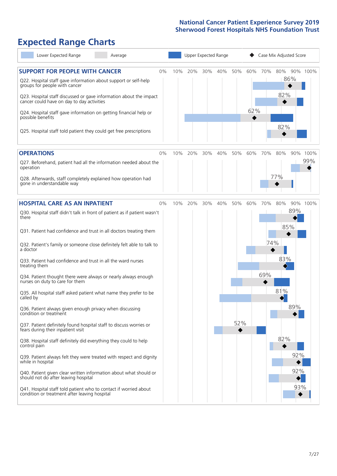# **Expected Range Charts**

| Lower Expected Range<br>Average                                                                                                                                                                                                                                     | Upper Expected Range |     |     |     |     |            | Case Mix Adjusted Score |            |     |             |  |  |
|---------------------------------------------------------------------------------------------------------------------------------------------------------------------------------------------------------------------------------------------------------------------|----------------------|-----|-----|-----|-----|------------|-------------------------|------------|-----|-------------|--|--|
| <b>SUPPORT FOR PEOPLE WITH CANCER</b><br>0%<br>Q22. Hospital staff gave information about support or self-help<br>groups for people with cancer<br>Q23. Hospital staff discussed or gave information about the impact<br>cancer could have on day to day activities | 10%                  | 20% | 30% | 40% | 50% | 60%<br>62% | 70%                     | 80%<br>82% | 86% | 90% 100%    |  |  |
| Q24. Hospital staff gave information on getting financial help or<br>possible benefits<br>Q25. Hospital staff told patient they could get free prescriptions                                                                                                        |                      |     |     |     |     |            |                         | 82%        |     |             |  |  |
| <b>OPERATIONS</b><br>$0\%$                                                                                                                                                                                                                                          | 10%                  | 20% | 30% | 40% | 50% | 60%        | 70%                     | 80%        | 90% | 100%<br>99% |  |  |
| Q27. Beforehand, patient had all the information needed about the<br>operation                                                                                                                                                                                      |                      |     |     |     |     |            |                         |            |     |             |  |  |
| Q28. Afterwards, staff completely explained how operation had<br>gone in understandable way                                                                                                                                                                         |                      |     |     |     |     |            |                         | 77%        |     |             |  |  |
| <b>HOSPITAL CARE AS AN INPATIENT</b><br>0%                                                                                                                                                                                                                          | 10%                  | 20% | 30% | 40% | 50% | 60%        | 70%                     | 80%        |     | 90% 100%    |  |  |
| Q30. Hospital staff didn't talk in front of patient as if patient wasn't<br>there                                                                                                                                                                                   |                      |     |     |     |     |            |                         | 85%        | 89% |             |  |  |
| Q31. Patient had confidence and trust in all doctors treating them                                                                                                                                                                                                  |                      |     |     |     |     |            |                         |            |     |             |  |  |
| Q32. Patient's family or someone close definitely felt able to talk to<br>a doctor                                                                                                                                                                                  |                      |     |     |     |     |            | 74%                     |            |     |             |  |  |
| Q33. Patient had confidence and trust in all the ward nurses<br>treating them                                                                                                                                                                                       |                      |     |     |     |     |            |                         | 83%        |     |             |  |  |
| Q34. Patient thought there were always or nearly always enough<br>nurses on duty to care for them                                                                                                                                                                   |                      |     |     |     |     |            | 69%                     |            |     |             |  |  |
| Q35. All hospital staff asked patient what name they prefer to be<br>called by                                                                                                                                                                                      |                      |     |     |     |     |            |                         | 81%        |     |             |  |  |
| Q36. Patient always given enough privacy when discussing<br>condition or treatment                                                                                                                                                                                  |                      |     |     |     |     |            |                         |            | 89% |             |  |  |
| Q37. Patient definitely found hospital staff to discuss worries or<br>fears during their inpatient visit                                                                                                                                                            |                      |     |     |     | 52% |            |                         |            |     |             |  |  |
| Q38. Hospital staff definitely did everything they could to help<br>control pain                                                                                                                                                                                    |                      |     |     |     |     |            |                         | 82%        |     |             |  |  |
| Q39. Patient always felt they were treated with respect and dignity<br>while in hospital                                                                                                                                                                            |                      |     |     |     |     |            |                         |            | 92% |             |  |  |
| Q40. Patient given clear written information about what should or<br>should not do after leaving hospital                                                                                                                                                           |                      |     |     |     |     |            |                         |            | 92% |             |  |  |
| Q41. Hospital staff told patient who to contact if worried about<br>condition or treatment after leaving hospital                                                                                                                                                   |                      |     |     |     |     |            |                         |            | 93% |             |  |  |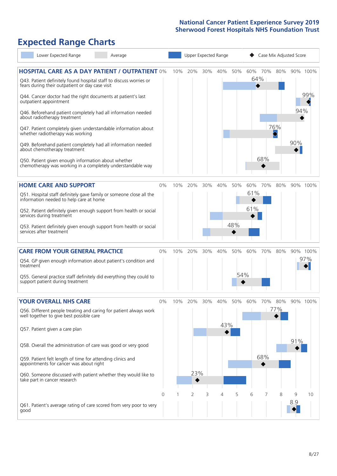# **Expected Range Charts**

| Lower Expected Range<br>Average                                                                                                           |          | Upper Expected Range |     |     |     |     |                | Case Mix Adjusted Score |     |          |          |  |  |
|-------------------------------------------------------------------------------------------------------------------------------------------|----------|----------------------|-----|-----|-----|-----|----------------|-------------------------|-----|----------|----------|--|--|
| <b>HOSPITAL CARE AS A DAY PATIENT / OUTPATIENT 0%</b><br>Q43. Patient definitely found hospital staff to discuss worries or               |          | 10%                  | 20% | 30% | 40% | 50% | 60% 70%<br>64% |                         | 80% |          | 90% 100% |  |  |
| fears during their outpatient or day case visit<br>Q44. Cancer doctor had the right documents at patient's last<br>outpatient appointment |          |                      |     |     |     |     |                |                         |     |          | 99%      |  |  |
| Q46. Beforehand patient completely had all information needed<br>about radiotherapy treatment                                             |          |                      |     |     |     |     |                |                         |     | 94%      |          |  |  |
| Q47. Patient completely given understandable information about<br>whether radiotherapy was working                                        |          |                      |     |     |     |     |                |                         | 76% |          |          |  |  |
| Q49. Beforehand patient completely had all information needed<br>about chemotherapy treatment                                             |          |                      |     |     |     |     |                |                         |     | 90%      |          |  |  |
| Q50. Patient given enough information about whether<br>chemotherapy was working in a completely understandable way                        |          |                      |     |     |     |     |                | 68%                     |     |          |          |  |  |
| <b>HOME CARE AND SUPPORT</b>                                                                                                              | 0%       | 10%                  | 20% | 30% | 40% | 50% | 60%            | 70%                     | 80% |          | 90% 100% |  |  |
| Q51. Hospital staff definitely gave family or someone close all the<br>information needed to help care at home                            |          |                      |     |     |     |     | 61%            |                         |     |          |          |  |  |
| Q52. Patient definitely given enough support from health or social<br>services during treatment                                           |          |                      |     |     |     |     | 61%            |                         |     |          |          |  |  |
| Q53. Patient definitely given enough support from health or social<br>services after treatment                                            |          |                      |     |     |     | 48% |                |                         |     |          |          |  |  |
| <b>CARE FROM YOUR GENERAL PRACTICE</b>                                                                                                    | 0%       | 10%                  | 20% | 30% | 40% | 50% | 60%            | 70%                     | 80% |          | 90% 100% |  |  |
| Q54. GP given enough information about patient's condition and<br>treatment                                                               |          |                      |     |     |     |     |                |                         |     |          | 97%      |  |  |
| Q55. General practice staff definitely did everything they could to<br>support patient during treatment                                   |          |                      |     |     |     | 54% |                |                         |     |          |          |  |  |
| YOUR OVERALL NHS CARE                                                                                                                     | 0%       | 10%                  | 20% | 30% | 40% | 50% | 60%            | 70%                     | 80% |          | 90% 100% |  |  |
| Q56. Different people treating and caring for patient always work<br>well together to give best possible care                             |          |                      |     |     | 43% |     |                |                         | 77% |          |          |  |  |
| Q57. Patient given a care plan                                                                                                            |          |                      |     |     |     |     |                |                         |     |          |          |  |  |
| Q58. Overall the administration of care was good or very good                                                                             |          |                      |     |     |     |     |                |                         |     | 91%      |          |  |  |
| Q59. Patient felt length of time for attending clinics and<br>appointments for cancer was about right                                     |          |                      |     |     |     |     |                | 68%                     |     |          |          |  |  |
| Q60. Someone discussed with patient whether they would like to<br>take part in cancer research                                            |          |                      | 23% |     |     |     |                |                         |     |          |          |  |  |
|                                                                                                                                           | $\Omega$ |                      | 2   | 3   | 4   | 5   | 6              | 7                       | 8   | 9<br>8.9 | 10       |  |  |
| Q61. Patient's average rating of care scored from very poor to very<br>good                                                               |          |                      |     |     |     |     |                |                         |     |          |          |  |  |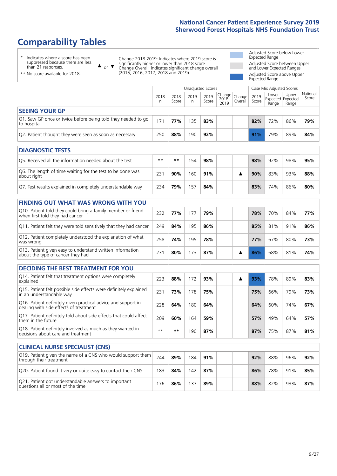# **Comparability Tables**

\* Indicates where a score has been suppressed because there are less than 21 responses.

\*\* No score available for 2018.

 $\triangle$  or  $\nabla$ 

Change 2018-2019: Indicates where 2019 score is significantly higher or lower than 2018 score Change Overall: Indicates significant change overall (2015, 2016, 2017, 2018 and 2019).

Adjusted Score below Lower Expected Range Adjusted Score between Upper and Lower Expected Ranges Adjusted Score above Upper Expected Range

|                                                                             | Unadjusted Scores<br>Case Mix Adjusted Scores |               |           |               |                                                |  |               |                                     |                |                   |
|-----------------------------------------------------------------------------|-----------------------------------------------|---------------|-----------|---------------|------------------------------------------------|--|---------------|-------------------------------------|----------------|-------------------|
|                                                                             | 2018<br>n                                     | 2018<br>Score | 2019<br>n | 2019<br>Score | Change<br>2018- Change<br>2010 Overall<br>2019 |  | 2019<br>Score | Lower<br>Expected Expected<br>Range | Upper<br>Range | National<br>Score |
| <b>SEEING YOUR GP</b>                                                       |                                               |               |           |               |                                                |  |               |                                     |                |                   |
| Q1. Saw GP once or twice before being told they needed to go<br>to hospital | 171                                           | 77%           | 135       | 83%           |                                                |  | 82%           | 72%                                 | 86%            | 79%               |
| Q2. Patient thought they were seen as soon as necessary                     | 250                                           | 88%           | 190       | 92%           |                                                |  | 91%           | 79%                                 | 89%            | 84%               |
| <b>DIAGNOSTIC TESTS</b>                                                     |                                               |               |           |               |                                                |  |               |                                     |                |                   |

| <b>UIAGINUSTIC TESTS</b>                                                  |      |     |     |     |  |     |     |     |     |
|---------------------------------------------------------------------------|------|-----|-----|-----|--|-----|-----|-----|-----|
| O5. Received all the information needed about the test                    | $**$ | **  | -54 | 98% |  | 98% | 92% | 98% | 95% |
| Q6. The length of time waiting for the test to be done was<br>about right | 23'  | 90% | 60  | 91% |  | 90% | 83% | 93% | 88% |
| Q7. Test results explained in completely understandable way               | 234  | 79% | 57  | 84% |  | 83% | 74% | 86% | 80% |

| <b>FINDING OUT WHAT WAS WRONG WITH YOU</b>                                                      |     |     |     |     |  |            |     |     |     |
|-------------------------------------------------------------------------------------------------|-----|-----|-----|-----|--|------------|-----|-----|-----|
| Q10. Patient told they could bring a family member or friend<br>when first told they had cancer | 232 | 77% | 177 | 79% |  | 78%        | 70% | 84% | 77% |
| Q11. Patient felt they were told sensitively that they had cancer                               | 249 | 84% | 195 | 86% |  | 85%        | 81% | 91% | 86% |
| Q12. Patient completely understood the explanation of what<br>was wrong                         | 258 | 74% | 195 | 78% |  | <b>77%</b> | 67% | 80% | 73% |
| Q13. Patient given easy to understand written information<br>about the type of cancer they had  | 231 | 80% | 173 | 87% |  | 86%        | 68% | 81% | 74% |

| <b>DECIDING THE BEST TREATMENT FOR YOU</b>                                                              |      |     |     |     |  |     |     |     |     |
|---------------------------------------------------------------------------------------------------------|------|-----|-----|-----|--|-----|-----|-----|-----|
| Q14. Patient felt that treatment options were completely<br>explained                                   | 223  | 88% | 172 | 93% |  | 93% | 78% | 89% | 83% |
| Q15. Patient felt possible side effects were definitely explained<br>in an understandable way           | 231  | 73% | 178 | 75% |  | 75% | 66% | 79% | 73% |
| Q16. Patient definitely given practical advice and support in<br>dealing with side effects of treatment | 228  | 64% | 180 | 64% |  | 64% | 60% | 74% | 67% |
| Q17. Patient definitely told about side effects that could affect<br>them in the future                 | 209  | 60% | 164 | 59% |  | 57% | 49% | 64% | 57% |
| Q18. Patient definitely involved as much as they wanted in<br>decisions about care and treatment        | $**$ | **  | '90 | 87% |  | 87% | 75% | 87% | 81% |

| <b>CLINICAL NURSE SPECIALIST (CNS)</b>                                                    |     |     |     |     |     |     |     |     |
|-------------------------------------------------------------------------------------------|-----|-----|-----|-----|-----|-----|-----|-----|
| Q19. Patient given the name of a CNS who would support them<br>through their treatment    | 244 | 89% | 184 | 91% | 92% | 88% | 96% | 92% |
| Q20. Patient found it very or quite easy to contact their CNS                             | 183 | 84% | 142 | 87% | 86% | 78% | 91% | 85% |
| Q21. Patient got understandable answers to important<br>questions all or most of the time | 76  | 86% | 137 | 89% | 88% | 82% | 93% | 87% |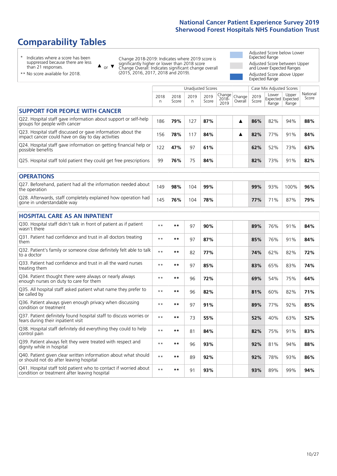# **Comparability Tables**

\* Indicates where a score has been suppressed because there are less than 21 responses.

\*\* No score available for 2018.

 $\triangle$  or  $\nabla$ 

Change 2018-2019: Indicates where 2019 score is significantly higher or lower than 2018 score Change Overall: Indicates significant change overall (2015, 2016, 2017, 2018 and 2019).

Adjusted Score below Lower Expected Range Adjusted Score between Upper and Lower Expected Ranges Adjusted Score above Upper Expected Range

|                                                                                                                   |           |               | <b>Unadjusted Scores</b> |               |                         |                   |               | Case Mix Adjusted Scores |                                     |                   |
|-------------------------------------------------------------------------------------------------------------------|-----------|---------------|--------------------------|---------------|-------------------------|-------------------|---------------|--------------------------|-------------------------------------|-------------------|
|                                                                                                                   | 2018<br>n | 2018<br>Score | 2019<br>n                | 2019<br>Score | Change<br>2018-<br>2019 | Change<br>Overall | 2019<br>Score | Lower<br>Range           | Upper<br>Expected Expected<br>Range | National<br>Score |
| <b>SUPPORT FOR PEOPLE WITH CANCER</b>                                                                             |           |               |                          |               |                         |                   |               |                          |                                     |                   |
| Q22. Hospital staff gave information about support or self-help<br>groups for people with cancer                  | 186       | 79%           | 127                      | 87%           |                         | ▲                 | 86%           | 82%                      | 94%                                 | 88%               |
| Q23. Hospital staff discussed or gave information about the<br>impact cancer could have on day to day activities  | 156       | 78%           | 117                      | 84%           |                         | ▲                 | 82%           | 77%                      | 91%                                 | 84%               |
| Q24. Hospital staff gave information on getting financial help or<br>possible benefits                            | 122       | 47%           | 97                       | 61%           |                         |                   | 62%           | 52%                      | 73%                                 | 63%               |
| Q25. Hospital staff told patient they could get free prescriptions                                                | 99        | 76%           | 75                       | 84%           |                         |                   | 82%           | 73%                      | 91%                                 | 82%               |
| <b>OPERATIONS</b>                                                                                                 |           |               |                          |               |                         |                   |               |                          |                                     |                   |
| Q27. Beforehand, patient had all the information needed about<br>the operation                                    | 149       | 98%           | 104                      | 99%           |                         |                   | 99%           | 93%                      | 100%                                | 96%               |
| Q28. Afterwards, staff completely explained how operation had<br>gone in understandable way                       | 145       | 76%           | 104                      | 78%           |                         |                   | 77%           | 71%                      | 87%                                 | 79%               |
| <b>HOSPITAL CARE AS AN INPATIENT</b>                                                                              |           |               |                          |               |                         |                   |               |                          |                                     |                   |
| Q30. Hospital staff didn't talk in front of patient as if patient<br>wasn't there                                 | $* *$     | $***$         | 97                       | 90%           |                         |                   | 89%           | 76%                      | 91%                                 | 84%               |
| Q31. Patient had confidence and trust in all doctors treating<br>them                                             | $* *$     | $***$         | 97                       | 87%           |                         |                   | 85%           | 76%                      | 91%                                 | 84%               |
| Q32. Patient's family or someone close definitely felt able to talk<br>to a doctor                                | $* *$     | $***$         | 82                       | 77%           |                         |                   | 74%           | 62%                      | 82%                                 | 72%               |
| Q33. Patient had confidence and trust in all the ward nurses<br>treating them                                     | $**$      | **            | 97                       | 85%           |                         |                   | 83%           | 65%                      | 83%                                 | 74%               |
| Q34. Patient thought there were always or nearly always<br>enough nurses on duty to care for them                 | $* *$     | $***$         | 96                       | 72%           |                         |                   | 69%           | 54%                      | 75%                                 | 64%               |
| Q35. All hospital staff asked patient what name they prefer to<br>be called by                                    | $* *$     | $***$         | 96                       | 82%           |                         |                   | 81%           | 60%                      | 82%                                 | 71%               |
| Q36. Patient always given enough privacy when discussing<br>condition or treatment                                | $* *$     | $***$         | 97                       | 91%           |                         |                   | 89%           | 77%                      | 92%                                 | 85%               |
| Q37. Patient definitely found hospital staff to discuss worries or<br>fears during their inpatient visit          | $**$      | **            | 73                       | 55%           |                         |                   | 52%           | 40%                      | 63%                                 | 52%               |
| Q38. Hospital staff definitely did everything they could to help<br>control pain                                  | $* *$     | $***$         | 81                       | 84%           |                         |                   | 82%           | 75%                      | 91%                                 | 83%               |
| Q39. Patient always felt they were treated with respect and<br>dignity while in hospital                          | $***$     | **            | 96                       | 93%           |                         |                   | 92%           | 81%                      | 94%                                 | 88%               |
| Q40. Patient given clear written information about what should<br>or should not do after leaving hospital         | $* *$     | $***$         | 89                       | 92%           |                         |                   | 92%           | 78%                      | 93%                                 | 86%               |
| Q41. Hospital staff told patient who to contact if worried about<br>condition or treatment after leaving hospital | $**$      | **            | 91                       | 93%           |                         |                   | 93%           | 89%                      | 99%                                 | 94%               |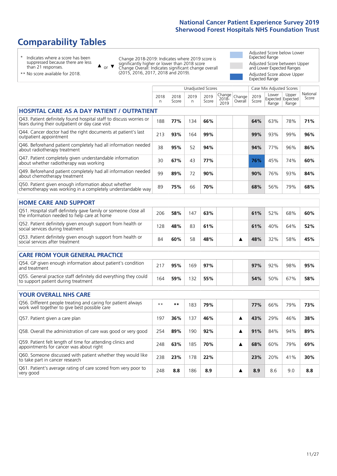# **Comparability Tables**

\* Indicates where a score has been suppressed because there are less than 21 responses.

\*\* No score available for 2018.

 $\triangle$  or  $\nabla$ 

Change 2018-2019: Indicates where 2019 score is significantly higher or lower than 2018 score Change Overall: Indicates significant change overall (2015, 2016, 2017, 2018 and 2019).

Adjusted Score below Lower Expected Range Adjusted Score between Upper and Lower Expected Ranges Adjusted Score above Upper Expected Range

|                                                                                                                       |              |               |           | <b>Unadjusted Scores</b> |                         |                   |               | Case Mix Adjusted Scores |                                     |                   |
|-----------------------------------------------------------------------------------------------------------------------|--------------|---------------|-----------|--------------------------|-------------------------|-------------------|---------------|--------------------------|-------------------------------------|-------------------|
|                                                                                                                       | 2018<br>n    | 2018<br>Score | 2019<br>n | 2019<br>Score            | Change<br>2018-<br>2019 | Change<br>Overall | 2019<br>Score | Lower<br>Range           | Upper<br>Expected Expected<br>Range | National<br>Score |
| HOSPITAL CARE AS A DAY PATIENT / OUTPATIENT                                                                           |              |               |           |                          |                         |                   |               |                          |                                     |                   |
| Q43. Patient definitely found hospital staff to discuss worries or<br>fears during their outpatient or day case visit | 188          | 77%           | 134       | 66%                      |                         |                   | 64%           | 63%                      | 78%                                 | 71%               |
| Q44. Cancer doctor had the right documents at patient's last<br>outpatient appointment                                | 213          | 93%           | 164       | 99%                      |                         |                   | 99%           | 93%                      | 99%                                 | 96%               |
| Q46. Beforehand patient completely had all information needed<br>about radiotherapy treatment                         | 38           | 95%           | 52        | 94%                      |                         |                   | 94%           | 77%                      | 96%                                 | 86%               |
| Q47. Patient completely given understandable information<br>about whether radiotherapy was working                    | 30           | 67%           | 43        | 77%                      |                         |                   | 76%           | 45%                      | 74%                                 | 60%               |
| Q49. Beforehand patient completely had all information needed<br>about chemotherapy treatment                         | 99           | 89%           | 72        | 90%                      |                         |                   | 90%           | 76%                      | 93%                                 | 84%               |
| Q50. Patient given enough information about whether<br>chemotherapy was working in a completely understandable way    | 89           | 75%           | 66        | 70%                      |                         |                   | 68%           | 56%                      | 79%                                 | 68%               |
| <b>HOME CARE AND SUPPORT</b>                                                                                          |              |               |           |                          |                         |                   |               |                          |                                     |                   |
| Q51. Hospital staff definitely gave family or someone close all<br>the information needed to help care at home        | 206          | 58%           | 147       | 63%                      |                         |                   | 61%           | 52%                      | 68%                                 | 60%               |
| Q52. Patient definitely given enough support from health or<br>social services during treatment                       | 128          | 48%           | 83        | 61%                      |                         |                   | 61%           | 40%                      | 64%                                 | 52%               |
| Q53. Patient definitely given enough support from health or<br>social services after treatment                        | 84           | 60%           | 58        | 48%                      |                         | ▲                 | 48%           | 32%                      | 58%                                 | 45%               |
| CARE FROM YOUR GENERAL PRACTICE                                                                                       |              |               |           |                          |                         |                   |               |                          |                                     |                   |
| Q54. GP given enough information about patient's condition<br>and treatment                                           | 217          | 95%           | 169       | 97%                      |                         |                   | 97%           | 92%                      | 98%                                 | 95%               |
| Q55. General practice staff definitely did everything they could<br>to support patient during treatment               | 164          | 59%           | 132       | 55%                      |                         |                   | 54%           | 50%                      | 67%                                 | 58%               |
|                                                                                                                       |              |               |           |                          |                         |                   |               |                          |                                     |                   |
| YOUR OVERALL NHS CARE                                                                                                 |              |               |           |                          |                         |                   |               |                          |                                     |                   |
| Q56. Different people treating and caring for patient always<br>work well together to give best possible care         | $\star\star$ | **            | 183       | 79%                      |                         |                   | 77%           | 66%                      | 79%                                 | 73%               |
| Q57. Patient given a care plan                                                                                        | 197          | 36%           | 137       | 46%                      |                         | ▲                 | 43%           | 29%                      | 46%                                 | 38%               |
| Q58. Overall the administration of care was good or very good                                                         | 254          | 89%           | 190       | 92%                      |                         | ▲                 | 91%           | 84%                      | 94%                                 | 89%               |
| Q59. Patient felt length of time for attending clinics and<br>appointments for cancer was about right                 | 248          | 63%           | 185       | 70%                      |                         | ▲                 | 68%           | 60%                      | 79%                                 | 69%               |
| Q60. Someone discussed with patient whether they would like<br>to take part in cancer research                        | 238          | 23%           | 178       | 22%                      |                         |                   | 23%           | 20%                      | 41%                                 | 30%               |
| Q61. Patient's average rating of care scored from very poor to<br>very good                                           | 248          | 8.8           | 186       | 8.9                      |                         | ▲                 | 8.9           | 8.6                      | 9.0                                 | 8.8               |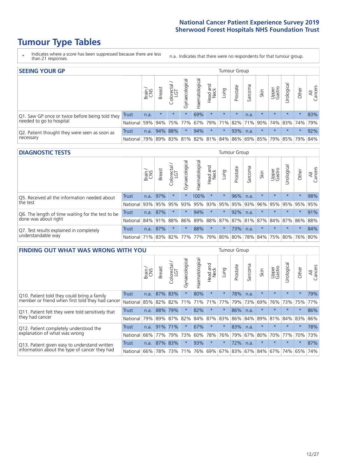# **Tumour Type Tables**

- \* Indicates where a score has been suppressed because there are less than 21 responses.
- n.a. Indicates that there were no respondents for that tumour group.

| <b>SEEING YOUR GP</b>                           |              |              |               |                   |                |                |                  |         | Tumour Group |         |         |                 |                                                     |         |                |
|-------------------------------------------------|--------------|--------------|---------------|-------------------|----------------|----------------|------------------|---------|--------------|---------|---------|-----------------|-----------------------------------------------------|---------|----------------|
|                                                 |              | Brain<br>CNS | <b>Breast</b> | Colorectal<br>LGT | Gynaecological | Haematological | Head and<br>Neck | Lung    | Prostate     | Sarcoma | Skin    | Upper<br>Gastro | $\overline{\sigma}$<br>Jrologica                    | Other   | All<br>Cancers |
| Q1. Saw GP once or twice before being told they | <b>Trust</b> | n.a.         | $\star$       | $\star$           | $\star$        | 69%            | $\star$          | $\star$ | $\star$      | n.a.    | $\star$ | $\star$         | $\star$                                             | $\star$ | 83%            |
| needed to go to hospital                        | National     | 59%          |               |                   |                |                |                  |         |              |         |         |                 | 94% 75% 77% 67% 79% 71% 82% 71% 90% 74% 83% 74% 79% |         |                |
| Q2. Patient thought they were seen as soon as   | Trust        | n.a.         |               | 94% 88%           | $\star$        | 94%            | $\star$          | $\star$ | 93%          | n.a.    | $\star$ | $\star$         | $\star$                                             | $\star$ | 92%            |
| necessary                                       | National I   | 79%          |               |                   |                |                |                  |         |              |         |         |                 | 89% 83% 81% 82% 81% 84% 86% 69% 85% 79% 85% 79%     |         | 84%            |

#### **DIAGNOSTIC TESTS** Tumour Group

|                                                   |                 | Brain<br>CNS | <b>Breast</b> | Colorectal<br>LGT | ᠊ᢛ<br>Gynaecologic | Haematological              | Head and<br>Neck | Lung    | Prostate | Sarcoma | Skin    | Upper<br>Gastro | rological                                   | Other   | All<br>Cancers |
|---------------------------------------------------|-----------------|--------------|---------------|-------------------|--------------------|-----------------------------|------------------|---------|----------|---------|---------|-----------------|---------------------------------------------|---------|----------------|
| Q5. Received all the information needed about     | <b>Trust</b>    | n.a.         | 97%           |                   |                    | 100%                        | $\star$          | $\star$ | 96%      | n.a.    |         | $\star$         | $\star$                                     | $\star$ | 98%            |
| $\vert$ the test                                  | National        | 93%          | 95%           | 95%               | 93%                | 95%                         |                  | 93% 95% | 95%      | 93%     | 96%     |                 | 95% 95%                                     | 95%     | 95%            |
| Q6. The length of time waiting for the test to be | Trust           | n.a.         | 87%           |                   | $\star$            | 94%                         | $\star$          | $\star$ | 92%      | n.a.    | $\star$ | $\star$         | $\star$                                     | $\star$ | 91%            |
| done was about right                              | <b>National</b> |              | 84% 91%       | 88%               |                    |                             |                  |         |          |         |         |                 | 86% 89% 88% 87% 87% 81% 87% 84% 87% 86% 88% |         |                |
| Q7. Test results explained in completely          | Trust           | n.a.         | 87%           |                   | $\star$            | 88%                         | $\star$          | $\star$ | 73%      | n.a.    | $\star$ | $\star$         | $\star$                                     | $\star$ | 84%            |
| understandable way                                | National 71%    |              |               |                   |                    | 83% 82% 77% 77% 79% 80% 80% |                  |         |          |         |         |                 | 78% 84% 75% 80% 76% 80%                     |         |                |

| <b>FINDING OUT WHAT WAS WRONG WITH YOU</b>        |              |       |               |                 |                |                |                        |         | <b>Tumour Group</b> |         |                     |                 |           |         |                |
|---------------------------------------------------|--------------|-------|---------------|-----------------|----------------|----------------|------------------------|---------|---------------------|---------|---------------------|-----------------|-----------|---------|----------------|
|                                                   |              | Brain | <b>Breast</b> | ╮<br>Colorectal | Gynaecological | Haematological | ad and<br>Neck<br>Head | Lung    | Prostate            | Sarcoma | Skin                | Upper<br>Gastro | Jrologica | Other   | All<br>Cancers |
| Q10. Patient told they could bring a family       | <b>Trust</b> | n.a.  | 87%           | 83%             | $\star$        | 80%            | $\star$                | $\star$ | 78%                 | n.a.    | $\star$             | $\star$         | $\star$   | $\star$ | 79%            |
| member or friend when first told they had cancer  | National     | 85%   | 82%           | 82%             | 71%            | 71%            | 71%                    | 77%     | 79%                 | 73%     | 69%                 | 76%             | 73%       | 75%     | 77%            |
| Q11. Patient felt they were told sensitively that | Trust        | n.a.  | 88%           | 79%             | $\star$        | 82%            | $\star$                | $\star$ | 86%                 | n.a.    | $\star$             | $\star$         | $\star$   | $\star$ | 86%            |
| they had cancer                                   | National     | 79%   | 89%           | 87%             | 82%            |                | 84% 87%                | 83%     | 86%                 | 84%     | 89%                 | 81%             | 84% 83%   |         | 86%            |
| Q12. Patient completely understood the            | Trust        | n.a.  | 91%           | 71%             | $\star$        | 67%            | $\star$                | $\star$ | 83%                 | n.a.    | $\star$             | $\star$         | $\star$   | $\star$ | 78%            |
| explanation of what was wrong                     | National     | 66%   | 77%           | 79%             | 73%            | 60%            | 78%                    | 76%     | 79%                 | 67%     | 80%                 | 70%             | 77%       | 70%     | 73%            |
| Q13. Patient given easy to understand written     | Trust        | n.a.  |               | 87% 83%         | $\star$        | 93%            | $\star$                | $\star$ | 72%                 | n.a.    | $\star$             | $\star$         | $\star$   | $\ast$  | 87%            |
| information about the type of cancer they had     | National     | 66%   |               | 78% 73%         | 71%            | 76%            |                        |         |                     |         | 69% 67% 83% 67% 84% | 67%             | 74%       | 65%     | 74%            |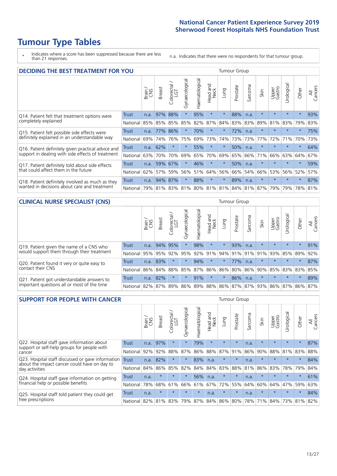# **Tumour Type Tables**

\* Indicates where a score has been suppressed because there are less than 21 responses.

n.a. Indicates that there were no respondents for that tumour group.

| <b>DECIDING THE BEST TREATMENT FOR YOU</b>             |            |              |               |                             |                |                |                        |         | <b>Tumour Group</b> |              |                                         |                 |            |         |                |
|--------------------------------------------------------|------------|--------------|---------------|-----------------------------|----------------|----------------|------------------------|---------|---------------------|--------------|-----------------------------------------|-----------------|------------|---------|----------------|
|                                                        |            | Brain<br>CNS | <b>Breast</b> | olorectal.<br>LGT<br>$\cup$ | Gynaecological | Haematological | ad and<br>Neck<br>Head | Lung    | Prostate            | arcoma<br>vĀ | Skin                                    | Upper<br>Gastro | Jrological | Other   | All<br>Cancers |
| Trust<br>Q14. Patient felt that treatment options were |            | n.a.         | 97%           | 88%                         | $\star$        | 95%            | $\star$                | $\star$ | 88%                 | n.a.         | $\star$                                 | $\star$         | $\star$    | $\star$ | 93%            |
| completely explained                                   | National   | 85%          | 85%           | 85%                         | 85%            | 82%            | 87%                    | 84%     | 83%                 | 83%          | 89%                                     | 81%             | 83%        | 79%     | 83%            |
| Q15. Patient felt possible side effects were           | Trust      | n.a.         | 77%           | 86%                         | $\star$        | 70%            | $\star$                | $\star$ | 72%                 | n.a.         | $\star$                                 | $\star$         | $\star$    | $\star$ | 75%            |
| definitely explained in an understandable way          | National   | 69%          | 74%           | 76%                         | 75%            | 69%            | 73%                    | 74%     | 73%                 | 73%          | 77%                                     | 72%             | 71%        | 70%     | 73%            |
| Q16. Patient definitely given practical advice and     | Trust      | n.a.         | 62%           | $\star$                     | $\star$        | 55%            | $\star$                | $\star$ | 50%                 | n.a.         | $\star$                                 | $\star$         | $\star$    | $\star$ | 64%            |
| support in dealing with side effects of treatment      | National   | 63%          | 70%           | 70%                         | 69%            | 65%            | 70%                    | 69%     | 65%                 | 66%          | 71%                                     | 66%             | 63%        | 64%     | 67%            |
| Q17. Patient definitely told about side effects        | Trust      | n.a.         | 59%           | 67%                         | $\star$        | 46%            | $\star$                | $\star$ | 50%                 | n.a.         | $\star$                                 | $\star$         | $\star$    | $\star$ | 59%            |
| that could affect them in the future                   | National   | 62%          | 57%           | 59%                         | 56%            | 51%            | 64%                    | 56%     | 66%                 | 54%          | 66%                                     | 53%             | 56%        | 52%     | 57%            |
| Q18. Patient definitely involved as much as they       | Trust      | n.a.         | 94%           | 87%                         | $\star$        | 88%            | $\star$                | $\star$ | 89%                 | n.a.         | $\star$                                 | $\star$         | $\star$    | $\star$ | 87%            |
| wanted in decisions about care and treatment           | National I | 79%          |               |                             |                |                |                        |         |                     |              | 81% 83% 81% 80% 81% 81% 84% 81% 87% 79% |                 | 79%        | 78% 81% |                |

#### **CLINICAL NURSE SPECIALIST (CNS)** Tumour Group

|                                             |              | Brain | <b>Breast</b> | Colorectal<br>LGT | $\sigma$<br>Gynaecologic | Haematological  | Head and<br>Neck | Lung    | Prostate | Sarcoma | Skin                        | Upper<br>Gastro | rological       | Other   | All<br>Cancers |
|---------------------------------------------|--------------|-------|---------------|-------------------|--------------------------|-----------------|------------------|---------|----------|---------|-----------------------------|-----------------|-----------------|---------|----------------|
| Q19. Patient given the name of a CNS who    | <b>Trust</b> | n.a.  | 94% 95%       |                   |                          | 98%             | $\star$          | $\star$ | 93%      | n.a.    |                             | $\star$         | $\star$         | $\star$ | 91%            |
| would support them through their treatment  | National     | 95%   | 95%           | 92%               | 95%                      | 92%             | 91%              |         | 94% 91%  | 91%     | 91%                         | 93%             | 85%             | 89%     | 92%            |
| Q20. Patient found it very or quite easy to | Trust        | n.a.  | 83%           |                   | $\star$                  | 94%             | $\star$          | $\star$ | 77%      | n.a.    |                             | $\star$         | $\star$         | $\star$ | 87%            |
| contact their CNS                           | National     | 86%   | 84%           | 88%               | 85%                      | 87% 86% 86% 80% |                  |         |          | 86%     | 90%                         | 85%             | 83% 83%         |         | 85%            |
| Q21. Patient got understandable answers to  | Trust        | n.a.  | 82%           |                   | $\star$                  | 91%             | $\star$          | $\star$ | 86%      | n.a.    | $\star$                     | $\star$         | $\star$         | $\star$ | 89%            |
| important questions all or most of the time | National     | 82%   | 87%           | 89%               |                          |                 |                  |         |          |         | 86% 89% 88% 86% 87% 87% 93% |                 | 86% 87% 86% 87% |         |                |

| <b>SUPPORT FOR PEOPLE WITH CANCER</b>                                                             |              |       |               |                 |                |                |                         |         | <b>Tumour Group</b> |         |         |                 |            |         |                |
|---------------------------------------------------------------------------------------------------|--------------|-------|---------------|-----------------|----------------|----------------|-------------------------|---------|---------------------|---------|---------|-----------------|------------|---------|----------------|
|                                                                                                   |              | Brain | <b>Breast</b> | ╮<br>Colorectal | Gynaecological | Haematological | ead and<br>Neck<br>Head | Lung    | Prostate            | Sarcoma | Skin    | Upper<br>Gastro | Urological | Other   | All<br>Cancers |
| Q22. Hospital staff gave information about<br>support or self-help groups for people with         | <b>Trust</b> | n.a.  | 97%           | $\star$         | $\star$        | 79%            | $\star$                 | $\star$ | $\star$             | n.a.    | $\star$ | $\star$         | $\star$    | $\star$ | 87%            |
| cancer                                                                                            | National     | 92%   | 92%           | 88%             | 87%            | 86%            | 88%                     | 87%     | 91%                 | 86%     | 90%     | 88%             | 81%        | 83%     | 88%            |
| Q23. Hospital staff discussed or gave information<br>about the impact cancer could have on day to | Trust        | n.a.  | 82%           | $\star$         | $\star$        | 83%            | n.a.                    | $\star$ | $\star$             | n.a.    | $\star$ | $\star$         | $\star$    | $\star$ | 84%            |
| day activities                                                                                    | National     | 84%   | 86%           | 85%             | 82%            | 84%            | 84%                     | 83%     | 88%                 | 81%     | 86%     | 83%             | 78%        | 79%     | 84%            |
| Q24. Hospital staff gave information on getting                                                   | Trust        | n.a.  | $\star$       | $\star$         | $\star$        | 56%            | n.a.                    | $\star$ | $\star$             | n.a.    | $\star$ | $\star$         | $\star$    | $\ast$  | 61%            |
| financial help or possible benefits                                                               | National     | 78%   | 68%           | 61%             | 66%            | 61%            | 67%                     | 72%     | 55%                 | 64%     | 60%     | 64%             | 47%        | 59%     | 63%            |
| Q25. Hospital staff told patient they could get                                                   | Trust        | n.a.  | $\star$       | $\star$         | $\star$        | $\star$        | n.a.                    | $\star$ | $\star$             | n.a.    | $\star$ | $\star$         | $\star$    | $\star$ | 84%            |
| free prescriptions                                                                                | National     | 82%   | 81%           | 83%             | 79%            | 87%            | 84%                     | 86%     | 80%                 | 78%     | 71%     | 84%             | 73%        | 81%     | 82%            |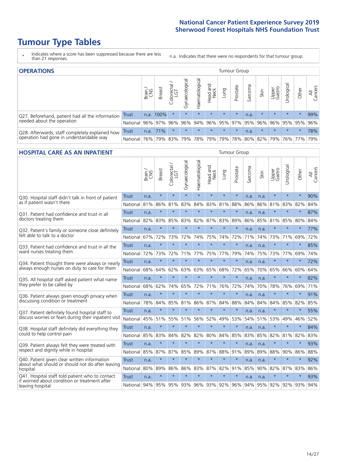# **Tumour Type Tables**

- \* Indicates where a score has been suppressed because there are less than 21 responses.
- n.a. Indicates that there were no respondents for that tumour group.

| <b>OPERATIONS</b>                                |              |               |               |            |                |                |                  |         | Tumour Group    |         |         |                 |                                     |         |                |
|--------------------------------------------------|--------------|---------------|---------------|------------|----------------|----------------|------------------|---------|-----------------|---------|---------|-----------------|-------------------------------------|---------|----------------|
|                                                  |              | Brain.<br>CNS | <b>Breast</b> | Colorectal | Gynaecological | Haematological | Head and<br>Neck | Dung    | Prostate        | Sarcoma | Skin    | Upper<br>Gastro | σ<br>Jrologica                      | Other   | All<br>Cancers |
| Q27. Beforehand, patient had all the information | <b>Trust</b> | n.a.          | 100%          | $\star$    | $\star$        | $\star$        | $\star$          | $\star$ | $\star$         | n.a.    | $\star$ | $\star$         | $\star$                             | $\star$ | 99%            |
| needed about the operation                       | National     | 96%           |               | 97% 96%    | 96%            |                |                  |         | 94% 96% 95% 97% |         | 95% 96% | 96%             |                                     | 95% 95% | 96%            |
| Q28. Afterwards, staff completely explained how  | Trust        | n.a.          | 71%           | $\star$    | $\star$        | $\star$        | $\star$          | $\star$ | $\star$         | n.a.    | $\star$ | $\star$         | $\star$                             | $\star$ | 78%            |
| operation had gone in understandable way         | National I   | 76%           |               | 79% 83%    | 79%            |                |                  |         |                 |         |         |                 | 78% 79% 79% 78% 80% 82% 79% 76% 77% |         | 79%            |

#### **HOSPITAL CARE AS AN INPATIENT** Tumour Group

|                                                                                                  |              | Brain | <b>Breast</b> | Colorectal /<br>LGT | Gynaecological | Haematological          | Head and<br>Neck | Lung    | Prostate | Sarcoma | Skin | Upper<br>Gastro | Urological  | Other   | Cancers<br>$\overline{\overline{z}}$ |
|--------------------------------------------------------------------------------------------------|--------------|-------|---------------|---------------------|----------------|-------------------------|------------------|---------|----------|---------|------|-----------------|-------------|---------|--------------------------------------|
| Q30. Hospital staff didn't talk in front of patient                                              | Trust        | n.a.  | $\star$       | $\star$             | $\star$        | $\star$                 | $\star$          | $\star$ | $\star$  | n.a.    | n.a. | $\star$         | $\star$     | $\star$ | 90%                                  |
| as if patient wasn't there                                                                       | National     | 81%   | 86%           | 81%                 | 83%            | 84%                     | 83%              | 81%     | 88%      | 86%     | 86%  | 81%             | 83%         | 82%     | 84%                                  |
| 031. Patient had confidence and trust in all                                                     | Trust        | n.a.  | $\star$       | $\star$             | $\star$        | $\star$                 | $\star$          | $\star$ | $\star$  | n.a.    | n.a. | $\star$         | $\star$     | $\star$ | 87%                                  |
| doctors treating them                                                                            | National     | 82%   | 83%           | 85%                 | 83%            | 82%                     |                  | 87% 83% | 89%      | 86%     | 85%  |                 | 81% 85%     | 80%     | 84%                                  |
| Q32. Patient's family or someone close definitely                                                | Trust        | n.a.  | $\star$       | $\star$             | $\star$        | $\star$                 | $\star$          | $\star$ | $\star$  | n.a.    | n.a. |                 | $\star$     | $\star$ | 77%                                  |
| felt able to talk to a doctor                                                                    | National     | 67%   | 72%           | 73%                 | 72%            | 74%                     | 75%              | 74%     | 72%      | 71%     | 74%  | 73%             | 71%         | 69%     | 72%                                  |
| Q33. Patient had confidence and trust in all the                                                 | <b>Trust</b> | n.a.  | $\star$       | $\star$             | $\star$        | $\star$                 | $\star$          | $\star$ | $\star$  | n.a.    | n.a. | $\star$         | $\star$     | $\star$ | 85%                                  |
| ward nurses treating them                                                                        | National     | 72%   | 73%           | 72%                 |                | 71% 77%                 | 75%              | 77%     | 79%      | 74%     | 75%  |                 | 73% 77%     | 69%     | 74%                                  |
| Q34. Patient thought there were always or nearly                                                 | <b>Trust</b> | n.a.  | $\star$       | $\star$             | $\star$        | $\star$                 | $\star$          | $\star$ | $\star$  | n.a.    | n.a. | $\star$         | $\star$     | $\star$ | 72%                                  |
| always enough nurses on duty to care for them                                                    | National     | 68%   | 64%           | 62%                 | 63%            | 63%                     | 65%              | 68%     | 72%      | 65%     | 70%  | 65%             | 66%         | 60%     | 64%                                  |
| Q35. All hospital staff asked patient what name                                                  | <b>Trust</b> | n.a.  | $\star$       | $\star$             | $\star$        | $\star$                 | $\star$          | $\star$ | $\star$  | n.a.    | n.a. |                 | $\star$     | $\star$ | 82%                                  |
| they prefer to be called by                                                                      | National     | 68%   | 62%           | 74%                 | 65%            | 72%                     | 71%              | 76%     | 72%      | 74%     | 70%  | 78%             | 76%         | 69%     | 71%                                  |
| Q36. Patient always given enough privacy when                                                    | Trust        | n.a.  | $\star$       | $\star$             | $\star$        | $\star$                 | $\star$          | $\star$ | $\star$  | n.a.    | n.a. | $\star$         | $\star$     | $\star$ | 91%                                  |
| discussing condition or treatment                                                                | National     | 78%   | 84%           | 85%                 | 81%            | 86%                     |                  | 87% 84% | 88%      | 84%     | 84%  | 84%             | 85%         | 82%     | 85%                                  |
| Q37. Patient definitely found hospital staff to                                                  | <b>Trust</b> | n.a.  | $\star$       | $\star$             | $\star$        | $\star$                 | $\star$          | $\star$ | $\star$  | n.a.    | n.a. | $\star$         | $\star$     | $\star$ | 55%                                  |
| discuss worries or fears during their inpatient visit                                            | National     | 45%   | 51%           | 55%                 |                | 51% 56%                 | 52%              | 49%     | 53%      | 54%     | 51%  |                 | 53% 49%     | 46%     | 52%                                  |
| Q38. Hospital staff definitely did everything they                                               | Trust        | n.a.  | $\star$       | $\star$             | $\star$        | $\star$                 | $\star$          | $\star$ | $\star$  | n.a.    | n.a. | $\star$         | $\star$     | $\star$ | 84%                                  |
| could to help control pain                                                                       | National     | 85%   | 83%           | 84%                 | 82%            | 82%                     | 80%              | 84%     | 85%      | 83%     | 85%  | 82%             | 81%         | 82%     | 83%                                  |
| Q39. Patient always felt they were treated with                                                  | Trust        | n.a.  | $\star$       | $\star$             | $\star$        | $\star$                 | $\star$          | $\star$ | $\star$  | n.a.    | n.a. | $\star$         | $\star$     | $\star$ | 93%                                  |
| respect and dignity while in hospital                                                            | National     | 85%   | 87%           | 87%                 | 85%            | 89%                     |                  | 87% 88% | 91%      | 89%     | 89%  | 88%             | 90%         | 86%     | 88%                                  |
| Q40. Patient given clear written information<br>about what should or should not do after leaving | Trust        | n.a.  | $\star$       | $\star$             | $\star$        | $\star$                 | $\star$          | $\star$ | $\star$  | n.a.    | n.a. |                 | $\star$     | $\star$ | 92%                                  |
| hospital                                                                                         | National     | 80%   | 89%           | 86%                 | 86%            | 83%                     |                  | 87% 82% | 91%      | 85%     | 90%  | 82%             | 87%         | 83%     | 86%                                  |
| Q41. Hospital staff told patient who to contact<br>if worried about condition or treatment after | <b>Trust</b> | n.a.  | $\star$       | $\star$             | $\star$        | $\star$                 | $\star$          | $\star$ | $\star$  | n.a.    | n.a. | $\star$         | $\star$     | $\star$ | 93%                                  |
| leaving hospital                                                                                 | National I   | 94%   |               |                     |                | 95% 95% 93% 96% 93% 92% |                  |         | 96%      | 94%     |      |                 | 95% 92% 92% | 93%     | 94%                                  |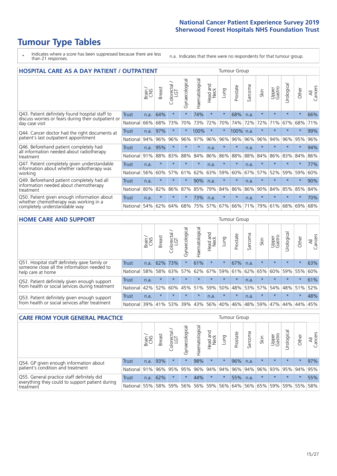# **Tumour Type Tables**

\* Indicates where a score has been suppressed because there are less than 21 responses.

n.a. Indicates that there were no respondents for that tumour group.

| <b>HOSPITAL CARE AS A DAY PATIENT / OUTPATIENT</b>                                                                    |              | <b>Tumour Group</b> |               |                       |                |                |                         |         |          |         |         |                 |            |         |                |
|-----------------------------------------------------------------------------------------------------------------------|--------------|---------------------|---------------|-----------------------|----------------|----------------|-------------------------|---------|----------|---------|---------|-----------------|------------|---------|----------------|
|                                                                                                                       |              | Brain               | <b>Breast</b> | olorectal<br>LGT<br>Ũ | Gynaecological | Haematological | aad and<br>Neck<br>Head | Lung    | Prostate | Sarcoma | Skin    | Upper<br>Gastro | Urological | Other   | All<br>Cancers |
| Q43. Patient definitely found hospital staff to                                                                       | <b>Trust</b> | n.a.                | 64%           | $\star$               | $\star$        | 74%            | $\star$                 | $\star$ | 68%      | n.a.    | $\star$ | $\star$         | $\star$    | $\star$ | 66%            |
| discuss worries or fears during their outpatient or<br>day case visit                                                 | National     | 66%                 | 68%           | 73%                   | 70%            | 73%            | 72%                     | 70%     | 74%      | 72%     | 72%     | 71%             | 67%        | 68%     | 71%            |
| Q44. Cancer doctor had the right documents at<br>patient's last outpatient appointment                                | Trust        | n.a.                | 97%           |                       |                | 100%           | $\star$                 | $\star$ | 100%     | n.a.    | $\star$ |                 | $\star$    | $\star$ | 99%            |
|                                                                                                                       | National     | 94%                 | 96%           | 96%                   | 96%            | 97%            | 96%                     | 96%     | 96%      | 96%     | 96%     | 94%             | 96%        | 95%     | 96%            |
| Q46. Beforehand patient completely had                                                                                | Trust        | n.a.                | 95%           | $\star$               |                | $\star$        | n.a.                    | $\star$ | $\star$  | n.a.    | $\star$ | $\star$         | $\star$    | $\star$ | 94%            |
| all information needed about radiotherapy<br>treatment                                                                | National     | 91%                 | 88%           | 83%                   | 88%            | 84%            | 86%                     | 86%     | 88%      | 88%     | 84%     | 86%             | 83%        | 84%     | 86%            |
| Q47. Patient completely given understandable                                                                          | Trust        | n.a.                | $\star$       | $\star$               | $\star$        | $\star$        | n.a.                    | $\star$ | $\star$  | n.a.    | $\star$ | $\star$         | $\star$    | $\star$ | 77%            |
| information about whether radiotherapy was<br>working                                                                 | National     | 56%                 | 60%           | 57%                   | 61%            | 62%            | 63%                     | 59%     | 60%      | 67%     | 57%     | 52%             | 59%        | 59%     | 60%            |
| Q49. Beforehand patient completely had all                                                                            | <b>Trust</b> | n.a.                | $\star$       | $\star$               | $^\star$       | 90%            | n.a.                    | $\star$ | $\star$  | n.a.    | $\star$ | $\star$         | $\star$    | $\star$ | 90%            |
| information needed about chemotherapy<br>treatment                                                                    | National     | 80%                 | 82%           | 86%                   | 87%            | 85%            | 79%                     | 84%     | 86%      | 86%     | 90%     | 84%             | 85%        | 85%     | 84%            |
| Q50. Patient given enough information about<br>whether chemotherapy was working in a<br>completely understandable way | Trust        | n.a.                | $\star$       | $\star$               |                | 73%            | n.a.                    | $\star$ | $\star$  | n.a.    | $\star$ | $\star$         |            | $\star$ | 70%            |
|                                                                                                                       | National     | 54%                 | 62%           | 64%                   | 68%            | 75%            |                         | 57% 67% | 66%      | 71%     | 79%     | 61%             | 68%        | 69%     | 68%            |

#### **HOME CARE AND SUPPORT** Tumour Group

|                                                                                                                   |              | Brain | <b>Breast</b> | Colorectal<br>LGT | ᢛ<br>Gynaecologic | Haematological | ad and<br>Neck<br>Head | <b>Dung</b> | Prostate | Sarcoma | Skin    | Upper<br>Gastro | Irological      | Other   | All<br>Cancers |
|-------------------------------------------------------------------------------------------------------------------|--------------|-------|---------------|-------------------|-------------------|----------------|------------------------|-------------|----------|---------|---------|-----------------|-----------------|---------|----------------|
| Q51. Hospital staff definitely gave family or<br>someone close all the information needed to<br>help care at home | <b>Trust</b> | n.a.  | 62%           | 73%               |                   | 61%            | $\ast$                 | $^\star$    | 67%      | n.a.    | $\star$ | $\star$         | $\star$         | $\star$ | 63%            |
|                                                                                                                   | National     | 58%   | 58%           | 63%               | 57%               | 62%            | 67%                    | 59%         | 61%      |         | 62% 65% | 60%             | 59%             | 55%     | 60%            |
| Q52. Patient definitely given enough support<br>from health or social services during treatment                   | Trust        | n.a.  | $\star$       | $\star$           | $\star$           | $\star$        | $\star$                | $\star$     | $\star$  | n.a.    | $\star$ | $\star$         | $\star$         | $\star$ | 61%            |
|                                                                                                                   | National     | 42%   | 52%           | 60%               | 45%               | $ 51\% $       | 59%                    | 50%         | 48%      | 53%     | 57%     |                 | 54%   48%   51% |         | 52%            |
| Q53. Patient definitely given enough support<br>from health or social services after treatment                    | Trust        | n.a.  | $\star$       | $\star$           | $\star$           | $\star$        | n.a.                   | $\star$     | $\star$  | n.a.    | $\star$ | $\star$         | $\star$         | $\star$ | 48%            |
|                                                                                                                   | National 39% |       | 41% 53%       |                   | 39%               |                | 43% 56%                | 40%         | 46%      |         | 48% 59% |                 | 47%   44%   44% |         | 45%            |

| <b>CARE FROM YOUR GENERAL PRACTICE</b>                                                                     |              |       |               |                   |                |                | Tumour Group            |         |          |         |         |                             |           |         |                |  |
|------------------------------------------------------------------------------------------------------------|--------------|-------|---------------|-------------------|----------------|----------------|-------------------------|---------|----------|---------|---------|-----------------------------|-----------|---------|----------------|--|
|                                                                                                            |              | Brain | <b>Breast</b> | Colorectal<br>LGT | Gynaecological | Haematological | Head and<br>Neck        | Lung    | Prostate | Sarcoma | Skin    | Upper<br>Gastro             | Urologica | Other   | All<br>Cancers |  |
| Q54. GP given enough information about<br>patient's condition and treatment                                | Trust        | n.a.  | 93%           |                   | $\star$        | 98%            | $\star$                 | $\star$ | 96%      | n.a.    | $\star$ | $\star$                     | $\star$   | $\star$ | 97%            |  |
|                                                                                                            | National 91% |       |               | 96% 95%           | 95%            |                | 96% 94% 94% 96% 94% 96% |         |          |         |         | 93% 95% 94% 95%             |           |         |                |  |
| Q55. General practice staff definitely did<br>everything they could to support patient during<br>treatment | <b>Trust</b> | n.a.  | 62%           | $\star$           | $\star$        | 44%            | $\star$                 | $\star$ | 55%      | n.a.    | $\star$ | $\star$                     | $\star$   | $\star$ | 55%            |  |
|                                                                                                            | National     | 55%   |               | 58% 59%           | 56%            |                | 56% 59%                 |         |          |         |         | 56% 64% 56% 65% 59% 59% 55% |           |         | 58%            |  |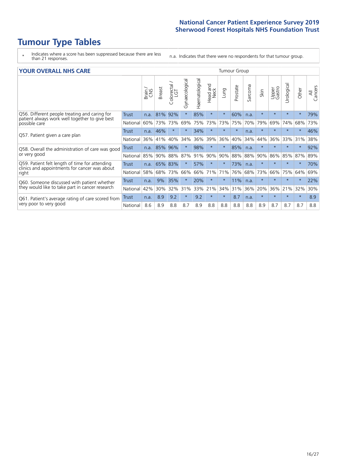# **Tumour Type Tables**

\* Indicates where a score has been suppressed because there are less than 21 responses.

n.a. Indicates that there were no respondents for that tumour group.

| <b>YOUR OVERALL NHS CARE</b>                                                                                     |              |       |               |                     |                |                       |                        |         | <b>Tumour Group</b> |         |         |                 |            |         |                |  |  |  |  |  |  |  |
|------------------------------------------------------------------------------------------------------------------|--------------|-------|---------------|---------------------|----------------|-----------------------|------------------------|---------|---------------------|---------|---------|-----------------|------------|---------|----------------|--|--|--|--|--|--|--|
|                                                                                                                  |              | Brain | <b>Breast</b> | Colorectal /<br>LGT | Gynaecological | <b>Haematological</b> | ad and<br>Neck<br>Head | Lung    | Prostate            | Sarcoma | Skin    | Upper<br>Gastro | Urological | Other   | All<br>Cancers |  |  |  |  |  |  |  |
| Q56. Different people treating and caring for<br>patient always work well together to give best<br>possible care | Trust        | n.a.  | 81%           | 92%                 |                | 85%                   | $\star$                | $\star$ | 60%                 | n.a.    | $\star$ | $\star$         | $\star$    | $\star$ | 79%            |  |  |  |  |  |  |  |
|                                                                                                                  | National     | 60%   | 73%           | 73%                 | 69%            | 75%                   | 73%                    | 73%     | 75%                 | 70%     | 79%     | 69%             | 74%        | 68%     | 73%            |  |  |  |  |  |  |  |
| Q57. Patient given a care plan                                                                                   | Trust        |       | n.a. 46%      | $\star$             | $\star$        | 34%                   | $\ast$                 | $\star$ | $\star$             | n.a.    | $\star$ | $\star$         | $\star$    | $\ast$  | 46%            |  |  |  |  |  |  |  |
|                                                                                                                  | National     | 36%   | 41%           | 40%                 | 34%            | 36%                   | 39%                    | 36%     | 40%                 | 34%     | 44%     | 36%             | 33%        | 31%     | 38%            |  |  |  |  |  |  |  |
| Q58. Overall the administration of care was good                                                                 | <b>Trust</b> |       | n.a. 85%      | 96%                 | $\star$        | 98%                   | $\star$                | $\star$ | 85%                 | n.a.    |         | $\star$         | $\star$    | $\star$ | 92%            |  |  |  |  |  |  |  |
| or very good                                                                                                     | National     | 85%   | 90%           | 88%                 | 87%            | 91%                   | 90%                    | 90%     | 88%                 | 88%     | 90%     | 86%             | 85%        | 87%     | 89%            |  |  |  |  |  |  |  |
| Q59. Patient felt length of time for attending                                                                   | Trust        | n.a.  | 65% 83%       |                     |                | 57%                   | $\star$                | $\star$ | 73%                 | n.a.    | $\star$ | $\star$         | $\star$    | $\star$ | 70%            |  |  |  |  |  |  |  |
| clinics and appointments for cancer was about<br>right                                                           | National     | 58%   | 68%           | 73%                 | 66%            | 66%                   | 71%                    | 71%     | 76%                 | 68%     | 73%     | 66%             | 75%        | 64%     | 69%            |  |  |  |  |  |  |  |
| Q60. Someone discussed with patient whether                                                                      | Trust        | n.a.  | 9%            | 35%                 |                | 20%                   | $\ast$                 | $\star$ | 11%                 | n.a.    | $\star$ | $\star$         | $\star$    | $\ast$  | 22%            |  |  |  |  |  |  |  |
| they would like to take part in cancer research                                                                  | National     | 42%   | 30%           | 32%                 | 31%            | 33%                   | 21%                    | 34%     | 31%                 | 36%     | 20%     | 36%             | 21%        | 32%     | 30%            |  |  |  |  |  |  |  |
| Q61. Patient's average rating of care scored from<br>very poor to very good                                      | Trust        | n.a.  | 8.9           | 9.2                 | $\star$        | 9.2                   | $\star$                | $\star$ | 8.7                 | n.a.    | $\star$ | $\star$         | $\star$    | $\star$ | 8.9            |  |  |  |  |  |  |  |
|                                                                                                                  | National     | 8.6   | 8.9           | 8.8                 | 8.7            | 8.9                   | 8.8                    | 8.8     | 8.8                 | 8.8     | 8.9     | 8.7             | 8.7        | 8.7     | 8.8            |  |  |  |  |  |  |  |
|                                                                                                                  |              |       |               |                     |                |                       |                        |         |                     |         |         |                 |            |         |                |  |  |  |  |  |  |  |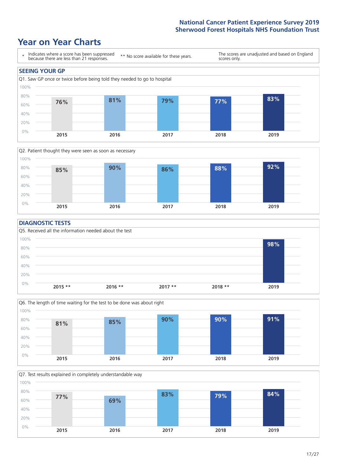### **Year on Year Charts**





#### **DIAGNOSTIC TESTS**





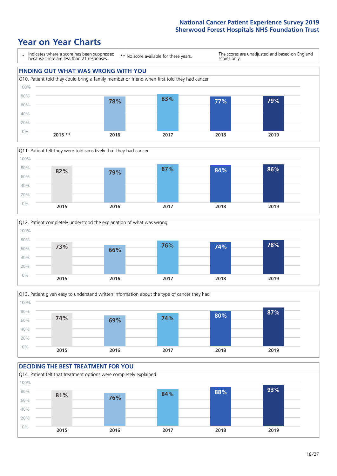### **Year on Year Charts**









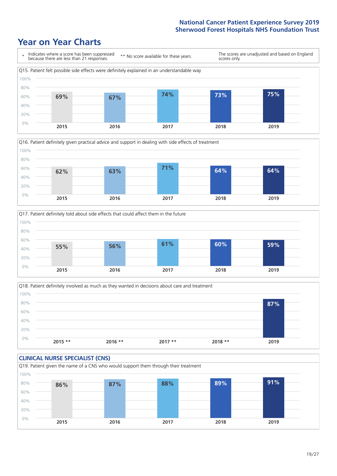### **Year on Year Charts**







Q18. Patient definitely involved as much as they wanted in decisions about care and treatment  $0%$ 20% 40% 60% 80% 100% **2015 \*\* 2016 \*\* 2017 \*\* 2018 \*\* 2019 87%**

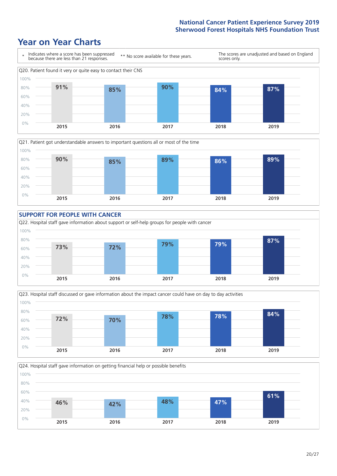### **Year on Year Charts**













 $20/27$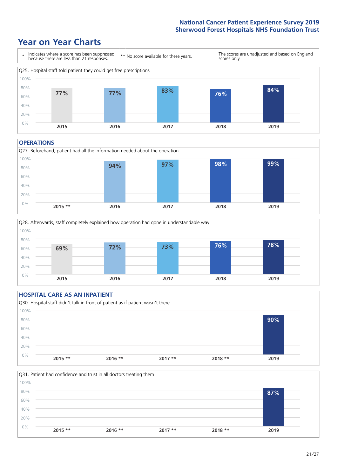### **Year on Year Charts**



#### **OPERATIONS**





#### **HOSPITAL CARE AS AN INPATIENT** Q30. Hospital staff didn't talk in front of patient as if patient wasn't there 0% 20% 40% 60% 80% 100% **2015 \*\* 2016 \*\* 2017 \*\* 2018 \*\* 2019 90%**

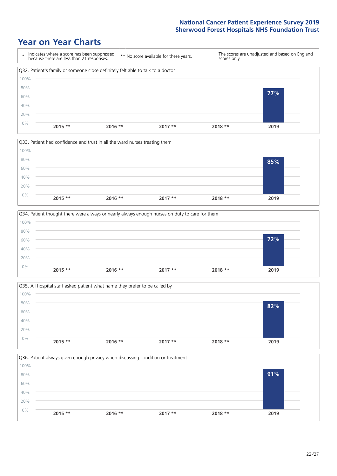### **Year on Year Charts**









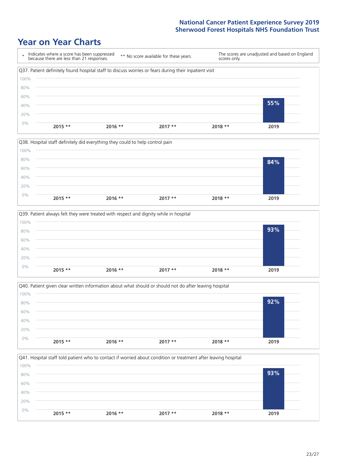### **Year on Year Charts**









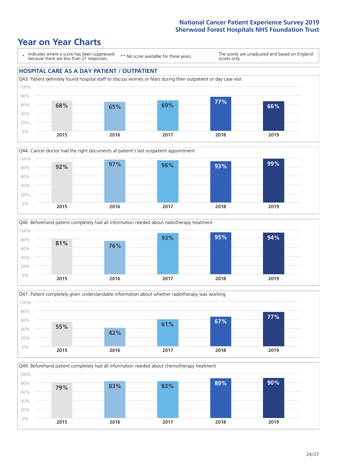### **Year on Year Charts**

\* Indicates where a score has been suppressed because there are less than 21 responses.

\*\* No score available for these years.

The scores are unadjusted and based on England scores only.

#### **HOSPITAL CARE AS A DAY PATIENT / OUTPATIENT**









Q49. Beforehand patient completely had all information needed about chemotherapy treatment

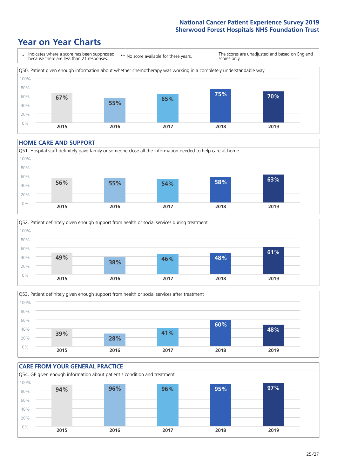### **Year on Year Charts**



#### **HOME CARE AND SUPPORT**







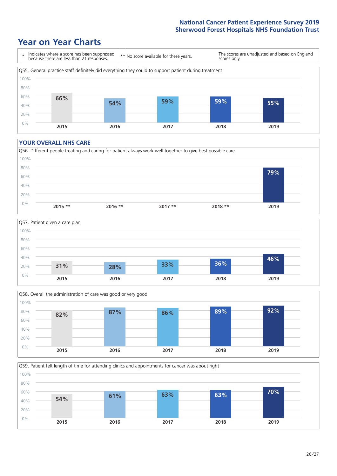### **Year on Year Charts**



#### **YOUR OVERALL NHS CARE**







Q59. Patient felt length of time for attending clinics and appointments for cancer was about right